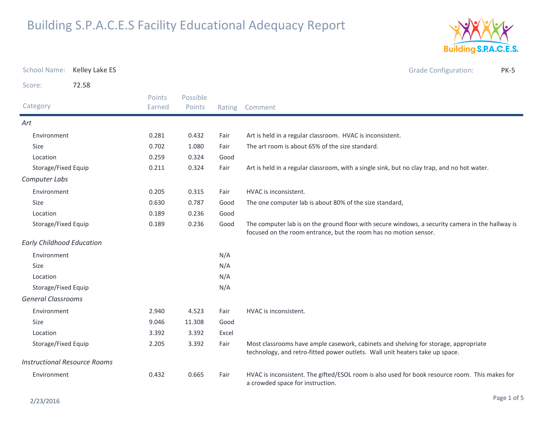

| <b>School Name:</b>       | Kelley Lake ES                      |                  |                    |        | <b>Grade Configuration:</b><br><b>PK-5</b>                                                                                                                           |
|---------------------------|-------------------------------------|------------------|--------------------|--------|----------------------------------------------------------------------------------------------------------------------------------------------------------------------|
| Score:                    | 72.58                               |                  |                    |        |                                                                                                                                                                      |
| Category                  |                                     | Points<br>Earned | Possible<br>Points | Rating | Comment                                                                                                                                                              |
| Art                       |                                     |                  |                    |        |                                                                                                                                                                      |
| Environment               |                                     | 0.281            | 0.432              | Fair   | Art is held in a regular classroom. HVAC is inconsistent.                                                                                                            |
| Size                      |                                     | 0.702            | 1.080              | Fair   | The art room is about 65% of the size standard.                                                                                                                      |
| Location                  |                                     | 0.259            | 0.324              | Good   |                                                                                                                                                                      |
|                           | Storage/Fixed Equip                 | 0.211            | 0.324              | Fair   | Art is held in a regular classroom, with a single sink, but no clay trap, and no hot water.                                                                          |
| Computer Labs             |                                     |                  |                    |        |                                                                                                                                                                      |
| Environment               |                                     | 0.205            | 0.315              | Fair   | HVAC is inconsistent.                                                                                                                                                |
| <b>Size</b>               |                                     | 0.630            | 0.787              | Good   | The one computer lab is about 80% of the size standard,                                                                                                              |
| Location                  |                                     | 0.189            | 0.236              | Good   |                                                                                                                                                                      |
| Storage/Fixed Equip       |                                     | 0.189            | 0.236              | Good   | The computer lab is on the ground floor with secure windows, a security camera in the hallway is<br>focused on the room entrance, but the room has no motion sensor. |
|                           | <b>Early Childhood Education</b>    |                  |                    |        |                                                                                                                                                                      |
| Environment               |                                     |                  |                    | N/A    |                                                                                                                                                                      |
| <b>Size</b>               |                                     |                  |                    | N/A    |                                                                                                                                                                      |
| Location                  |                                     |                  |                    | N/A    |                                                                                                                                                                      |
|                           | Storage/Fixed Equip                 |                  |                    | N/A    |                                                                                                                                                                      |
| <b>General Classrooms</b> |                                     |                  |                    |        |                                                                                                                                                                      |
| Environment               |                                     | 2.940            | 4.523              | Fair   | HVAC is inconsistent.                                                                                                                                                |
| Size                      |                                     | 9.046            | 11.308             | Good   |                                                                                                                                                                      |
| Location                  |                                     | 3.392            | 3.392              | Excel  |                                                                                                                                                                      |
| Storage/Fixed Equip       |                                     | 2.205            | 3.392              | Fair   | Most classrooms have ample casework, cabinets and shelving for storage, appropriate<br>technology, and retro-fitted power outlets. Wall unit heaters take up space.  |
|                           | <b>Instructional Resource Rooms</b> |                  |                    |        |                                                                                                                                                                      |
| Environment               |                                     | 0.432            | 0.665              | Fair   | HVAC is inconsistent. The gifted/ESOL room is also used for book resource room. This makes for<br>a crowded space for instruction.                                   |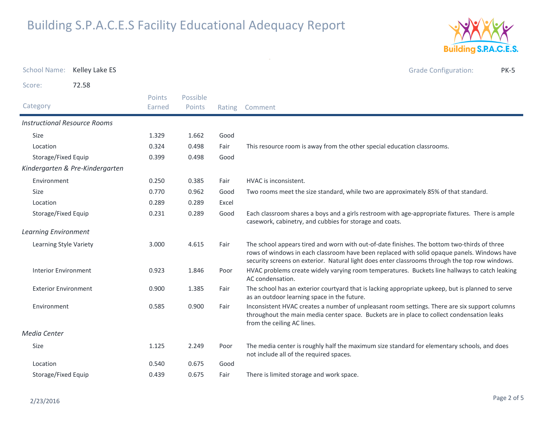

| <b>School Name:</b>                 | Kelley Lake ES                  |                  |                    |        | <b>Grade Configuration:</b><br><b>PK-5</b>                                                                                                                                                                                                                                                   |
|-------------------------------------|---------------------------------|------------------|--------------------|--------|----------------------------------------------------------------------------------------------------------------------------------------------------------------------------------------------------------------------------------------------------------------------------------------------|
| Score:                              | 72.58                           |                  |                    |        |                                                                                                                                                                                                                                                                                              |
| Category                            |                                 | Points<br>Earned | Possible<br>Points | Rating | Comment                                                                                                                                                                                                                                                                                      |
| <b>Instructional Resource Rooms</b> |                                 |                  |                    |        |                                                                                                                                                                                                                                                                                              |
| <b>Size</b>                         |                                 | 1.329            | 1.662              | Good   |                                                                                                                                                                                                                                                                                              |
| Location                            |                                 | 0.324            | 0.498              | Fair   | This resource room is away from the other special education classrooms.                                                                                                                                                                                                                      |
| Storage/Fixed Equip                 |                                 | 0.399            | 0.498              | Good   |                                                                                                                                                                                                                                                                                              |
|                                     | Kindergarten & Pre-Kindergarten |                  |                    |        |                                                                                                                                                                                                                                                                                              |
| Environment                         |                                 | 0.250            | 0.385              | Fair   | HVAC is inconsistent.                                                                                                                                                                                                                                                                        |
| <b>Size</b>                         |                                 | 0.770            | 0.962              | Good   | Two rooms meet the size standard, while two are approximately 85% of that standard.                                                                                                                                                                                                          |
| Location                            |                                 | 0.289            | 0.289              | Excel  |                                                                                                                                                                                                                                                                                              |
| Storage/Fixed Equip                 |                                 | 0.231            | 0.289              | Good   | Each classroom shares a boys and a girls restroom with age-appropriate fixtures. There is ample<br>casework, cabinetry, and cubbies for storage and coats.                                                                                                                                   |
| <b>Learning Environment</b>         |                                 |                  |                    |        |                                                                                                                                                                                                                                                                                              |
| Learning Style Variety              |                                 | 3.000            | 4.615              | Fair   | The school appears tired and worn with out-of-date finishes. The bottom two-thirds of three<br>rows of windows in each classroom have been replaced with solid opaque panels. Windows have<br>security screens on exterior. Natural light does enter classrooms through the top row windows. |
| <b>Interior Environment</b>         |                                 | 0.923            | 1.846              | Poor   | HVAC problems create widely varying room temperatures. Buckets line hallways to catch leaking<br>AC condensation.                                                                                                                                                                            |
| <b>Exterior Environment</b>         |                                 | 0.900            | 1.385              | Fair   | The school has an exterior courtyard that is lacking appropriate upkeep, but is planned to serve<br>as an outdoor learning space in the future.                                                                                                                                              |
| Environment                         |                                 | 0.585            | 0.900              | Fair   | Inconsistent HVAC creates a number of unpleasant room settings. There are six support columns<br>throughout the main media center space. Buckets are in place to collect condensation leaks<br>from the ceiling AC lines.                                                                    |
| Media Center                        |                                 |                  |                    |        |                                                                                                                                                                                                                                                                                              |
| <b>Size</b>                         |                                 | 1.125            | 2.249              | Poor   | The media center is roughly half the maximum size standard for elementary schools, and does<br>not include all of the required spaces.                                                                                                                                                       |
| Location                            |                                 | 0.540            | 0.675              | Good   |                                                                                                                                                                                                                                                                                              |
| Storage/Fixed Equip                 |                                 | 0.439            | 0.675              | Fair   | There is limited storage and work space.                                                                                                                                                                                                                                                     |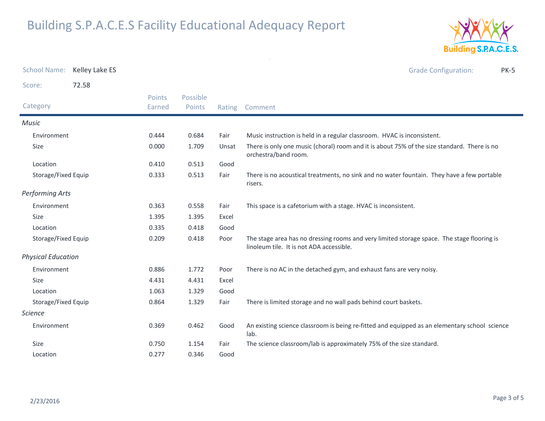

| <b>School Name:</b>       | Kelley Lake ES |                  |                    |        | <b>Grade Configuration:</b><br><b>PK-5</b>                                                                                             |
|---------------------------|----------------|------------------|--------------------|--------|----------------------------------------------------------------------------------------------------------------------------------------|
| Score:                    | 72.58          |                  |                    |        |                                                                                                                                        |
| Category                  |                | Points<br>Earned | Possible<br>Points | Rating | Comment                                                                                                                                |
| <b>Music</b>              |                |                  |                    |        |                                                                                                                                        |
| Environment               |                | 0.444            | 0.684              | Fair   | Music instruction is held in a regular classroom. HVAC is inconsistent.                                                                |
| Size                      |                | 0.000            | 1.709              | Unsat  | There is only one music (choral) room and it is about 75% of the size standard. There is no<br>orchestra/band room.                    |
| Location                  |                | 0.410            | 0.513              | Good   |                                                                                                                                        |
| Storage/Fixed Equip       |                | 0.333            | 0.513              | Fair   | There is no acoustical treatments, no sink and no water fountain. They have a few portable<br>risers.                                  |
| <b>Performing Arts</b>    |                |                  |                    |        |                                                                                                                                        |
| Environment               |                | 0.363            | 0.558              | Fair   | This space is a cafetorium with a stage. HVAC is inconsistent.                                                                         |
| <b>Size</b>               |                | 1.395            | 1.395              | Excel  |                                                                                                                                        |
| Location                  |                | 0.335            | 0.418              | Good   |                                                                                                                                        |
| Storage/Fixed Equip       |                | 0.209            | 0.418              | Poor   | The stage area has no dressing rooms and very limited storage space. The stage flooring is<br>linoleum tile. It is not ADA accessible. |
| <b>Physical Education</b> |                |                  |                    |        |                                                                                                                                        |
| Environment               |                | 0.886            | 1.772              | Poor   | There is no AC in the detached gym, and exhaust fans are very noisy.                                                                   |
| <b>Size</b>               |                | 4.431            | 4.431              | Excel  |                                                                                                                                        |
| Location                  |                | 1.063            | 1.329              | Good   |                                                                                                                                        |
| Storage/Fixed Equip       |                | 0.864            | 1.329              | Fair   | There is limited storage and no wall pads behind court baskets.                                                                        |
| <b>Science</b>            |                |                  |                    |        |                                                                                                                                        |
| Environment               |                | 0.369            | 0.462              | Good   | An existing science classroom is being re-fitted and equipped as an elementary school science<br>lab.                                  |
| Size                      |                | 0.750            | 1.154              | Fair   | The science classroom/lab is approximately 75% of the size standard.                                                                   |
| Location                  |                | 0.277            | 0.346              | Good   |                                                                                                                                        |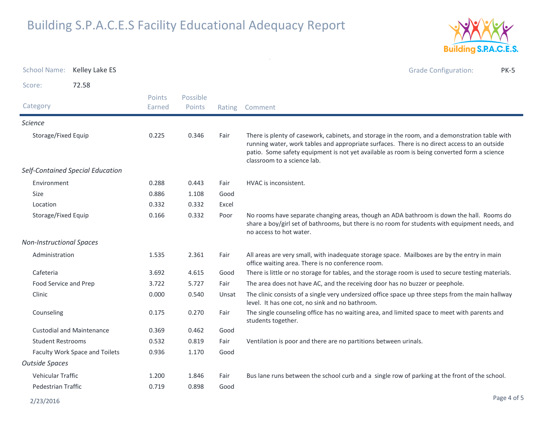

| <b>School Name:</b>             | Kelley Lake ES                   |                         |                    |        | <b>Grade Configuration:</b><br><b>PK-5</b>                                                                                                                                                                                                                                                                                   |
|---------------------------------|----------------------------------|-------------------------|--------------------|--------|------------------------------------------------------------------------------------------------------------------------------------------------------------------------------------------------------------------------------------------------------------------------------------------------------------------------------|
| Score:                          | 72.58                            |                         |                    |        |                                                                                                                                                                                                                                                                                                                              |
| Category                        |                                  | <b>Points</b><br>Earned | Possible<br>Points | Rating | Comment                                                                                                                                                                                                                                                                                                                      |
| <b>Science</b>                  |                                  |                         |                    |        |                                                                                                                                                                                                                                                                                                                              |
| Storage/Fixed Equip             |                                  | 0.225                   | 0.346              | Fair   | There is plenty of casework, cabinets, and storage in the room, and a demonstration table with<br>running water, work tables and appropriate surfaces. There is no direct access to an outside<br>patio. Some safety equipment is not yet available as room is being converted form a science<br>classroom to a science lab. |
|                                 | Self-Contained Special Education |                         |                    |        |                                                                                                                                                                                                                                                                                                                              |
| Environment                     |                                  | 0.288                   | 0.443              | Fair   | HVAC is inconsistent.                                                                                                                                                                                                                                                                                                        |
| <b>Size</b>                     |                                  | 0.886                   | 1.108              | Good   |                                                                                                                                                                                                                                                                                                                              |
| Location                        |                                  | 0.332                   | 0.332              | Excel  |                                                                                                                                                                                                                                                                                                                              |
| Storage/Fixed Equip             |                                  | 0.166                   | 0.332              | Poor   | No rooms have separate changing areas, though an ADA bathroom is down the hall. Rooms do<br>share a boy/girl set of bathrooms, but there is no room for students with equipment needs, and<br>no access to hot water.                                                                                                        |
| <b>Non-Instructional Spaces</b> |                                  |                         |                    |        |                                                                                                                                                                                                                                                                                                                              |
| Administration                  |                                  | 1.535                   | 2.361              | Fair   | All areas are very small, with inadequate storage space. Mailboxes are by the entry in main<br>office waiting area. There is no conference room.                                                                                                                                                                             |
| Cafeteria                       |                                  | 3.692                   | 4.615              | Good   | There is little or no storage for tables, and the storage room is used to secure testing materials.                                                                                                                                                                                                                          |
| Food Service and Prep           |                                  | 3.722                   | 5.727              | Fair   | The area does not have AC, and the receiving door has no buzzer or peephole.                                                                                                                                                                                                                                                 |
| Clinic                          |                                  | 0.000                   | 0.540              | Unsat  | The clinic consists of a single very undersized office space up three steps from the main hallway<br>level. It has one cot, no sink and no bathroom.                                                                                                                                                                         |
| Counseling                      |                                  | 0.175                   | 0.270              | Fair   | The single counseling office has no waiting area, and limited space to meet with parents and<br>students together.                                                                                                                                                                                                           |
|                                 | <b>Custodial and Maintenance</b> | 0.369                   | 0.462              | Good   |                                                                                                                                                                                                                                                                                                                              |
| <b>Student Restrooms</b>        |                                  | 0.532                   | 0.819              | Fair   | Ventilation is poor and there are no partitions between urinals.                                                                                                                                                                                                                                                             |
| Faculty Work Space and Toilets  |                                  | 0.936                   | 1.170              | Good   |                                                                                                                                                                                                                                                                                                                              |
| <b>Outside Spaces</b>           |                                  |                         |                    |        |                                                                                                                                                                                                                                                                                                                              |
| <b>Vehicular Traffic</b>        |                                  | 1.200                   | 1.846              | Fair   | Bus lane runs between the school curb and a single row of parking at the front of the school.                                                                                                                                                                                                                                |
| Pedestrian Traffic              |                                  | 0.719                   | 0.898              | Good   |                                                                                                                                                                                                                                                                                                                              |